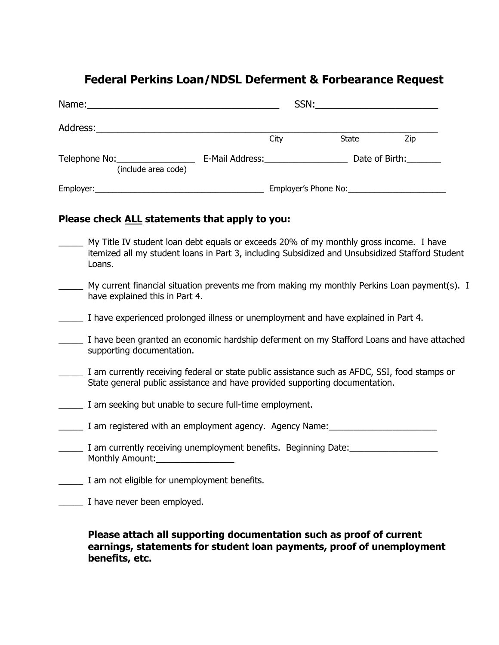# **Federal Perkins Loan/NDSL Deferment & Forbearance Request**

| Name: Name:                                                                                                                        |                                                                                                                                                                                                                                |                      |                |
|------------------------------------------------------------------------------------------------------------------------------------|--------------------------------------------------------------------------------------------------------------------------------------------------------------------------------------------------------------------------------|----------------------|----------------|
| Address:                                                                                                                           |                                                                                                                                                                                                                                |                      |                |
|                                                                                                                                    | City                                                                                                                                                                                                                           | State                | Zip            |
| Telephone No: __________________<br>(include area code)                                                                            | E-Mail Address: North and Senator Senator Senator Senator Senator Senator Senator Senator Senator Senator Senator Senator Senator Senator Senator Senator Senator Senator Senator Senator Senator Senator Senator Senator Sena |                      | Date of Birth: |
| Employer:<br><u> 1989 - Johann Harry Harry Harry Harry Harry Harry Harry Harry Harry Harry Harry Harry Harry Harry Harry Harry</u> |                                                                                                                                                                                                                                | Employer's Phone No: |                |

## **Please check ALL statements that apply to you:**

| My Title IV student loan debt equals or exceeds 20% of my monthly gross income. I have<br>itemized all my student loans in Part 3, including Subsidized and Unsubsidized Stafford Student<br>Loans. |
|-----------------------------------------------------------------------------------------------------------------------------------------------------------------------------------------------------|
| My current financial situation prevents me from making my monthly Perkins Loan payment(s). I<br>have explained this in Part 4.                                                                      |
| I have experienced prolonged illness or unemployment and have explained in Part 4.                                                                                                                  |
| I have been granted an economic hardship deferment on my Stafford Loans and have attached<br>supporting documentation.                                                                              |
| I am currently receiving federal or state public assistance such as AFDC, SSI, food stamps or<br>State general public assistance and have provided supporting documentation.                        |
| I am seeking but unable to secure full-time employment.                                                                                                                                             |
| I am registered with an employment agency. Agency Name:                                                                                                                                             |
| I am currently receiving unemployment benefits. Beginning Date:<br>Monthly Amount:                                                                                                                  |
| I am not eligible for unemployment benefits.                                                                                                                                                        |
| I have never been employed.                                                                                                                                                                         |

## **Please attach all supporting documentation such as proof of current earnings, statements for student loan payments, proof of unemployment benefits, etc.**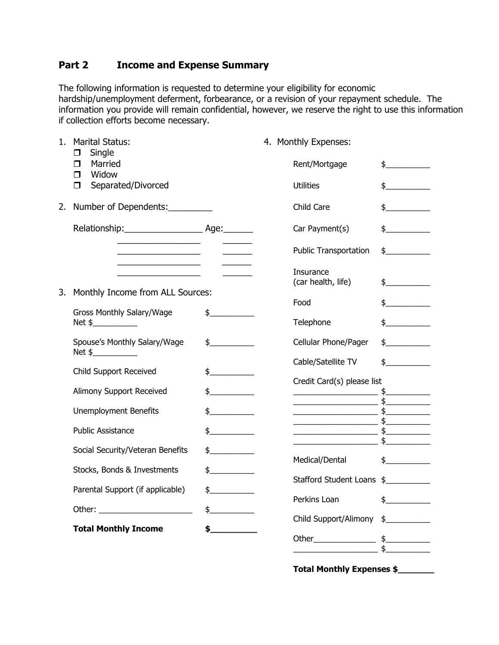## **Part 2 Income and Expense Summary**

The following information is requested to determine your eligibility for economic hardship/unemployment deferment, forbearance, or a revision of your repayment schedule. The information you provide will remain confidential, however, we reserve the right to use this information if collection efforts become necessary.

| 1. | <b>Marital Status:</b><br>Single                  | 4. Monthly Expenses: |                            |                                                                                                                                                                                                                                                                                                                     |                      |
|----|---------------------------------------------------|----------------------|----------------------------|---------------------------------------------------------------------------------------------------------------------------------------------------------------------------------------------------------------------------------------------------------------------------------------------------------------------|----------------------|
|    | П<br>Married<br>◘<br>Widow<br>⊓                   |                      |                            | Rent/Mortgage                                                                                                                                                                                                                                                                                                       | $\frac{1}{2}$        |
|    | Separated/Divorced<br>◘                           |                      | <b>Utilities</b>           |                                                                                                                                                                                                                                                                                                                     | $\updownarrow$       |
| 2. | Number of Dependents:                             |                      | Child Care                 |                                                                                                                                                                                                                                                                                                                     | $\frac{1}{2}$        |
|    |                                                   |                      |                            | Car Payment(s)                                                                                                                                                                                                                                                                                                      | $\frac{1}{2}$        |
|    |                                                   |                      |                            | <b>Public Transportation</b>                                                                                                                                                                                                                                                                                        | $\frac{1}{2}$        |
|    | <u> 1989 - Johann Barbara, martin amerikan ba</u> |                      | Insurance                  | (car health, life)                                                                                                                                                                                                                                                                                                  | $\frac{1}{\sqrt{2}}$ |
| 3. | Monthly Income from ALL Sources:                  |                      | Food                       |                                                                                                                                                                                                                                                                                                                     | $\updownarrow$       |
|    | Gross Monthly Salary/Wage<br>Net \$               | $\frac{1}{2}$        |                            | Telephone                                                                                                                                                                                                                                                                                                           | $\mathsf{\$}$        |
|    | Spouse's Monthly Salary/Wage<br>Net \$            | $\frac{1}{2}$        |                            | Cellular Phone/Pager                                                                                                                                                                                                                                                                                                | $\sim$               |
|    | Child Support Received                            |                      |                            | Cable/Satellite TV                                                                                                                                                                                                                                                                                                  | $\frac{1}{2}$        |
|    |                                                   | $\frac{1}{2}$        | Credit Card(s) please list |                                                                                                                                                                                                                                                                                                                     |                      |
|    | Alimony Support Received                          | $\frac{1}{2}$        |                            |                                                                                                                                                                                                                                                                                                                     |                      |
|    | <b>Unemployment Benefits</b>                      | $\frac{1}{2}$        |                            |                                                                                                                                                                                                                                                                                                                     |                      |
|    | <b>Public Assistance</b>                          | $\frac{1}{2}$        |                            | $\frac{1}{2}$ $\frac{1}{2}$ $\frac{1}{2}$ $\frac{1}{2}$ $\frac{1}{2}$ $\frac{1}{2}$ $\frac{1}{2}$ $\frac{1}{2}$ $\frac{1}{2}$ $\frac{1}{2}$ $\frac{1}{2}$ $\frac{1}{2}$ $\frac{1}{2}$ $\frac{1}{2}$ $\frac{1}{2}$ $\frac{1}{2}$ $\frac{1}{2}$ $\frac{1}{2}$ $\frac{1}{2}$ $\frac{1}{2}$ $\frac{1}{2}$ $\frac{1}{2}$ |                      |
|    |                                                   |                      |                            | $\frac{1}{2}$                                                                                                                                                                                                                                                                                                       |                      |
|    | Social Security/Veteran Benefits<br>$\frac{1}{2}$ |                      | Medical/Dental             |                                                                                                                                                                                                                                                                                                                     | $\frac{1}{2}$        |
|    | Stocks, Bonds & Investments                       | $\updownarrow$       |                            | Stafford Student Loans \$                                                                                                                                                                                                                                                                                           |                      |
|    | Parental Support (if applicable)                  | $\frac{1}{2}$        |                            | Perkins Loan                                                                                                                                                                                                                                                                                                        |                      |
|    |                                                   | $\frac{1}{2}$        |                            |                                                                                                                                                                                                                                                                                                                     | $\frac{1}{2}$        |
|    |                                                   |                      |                            | Child Support/Alimony                                                                                                                                                                                                                                                                                               | $\frac{1}{2}$        |
|    | <b>Total Monthly Income</b>                       | \$_                  |                            |                                                                                                                                                                                                                                                                                                                     | $\frac{1}{2}$        |
|    |                                                   |                      |                            |                                                                                                                                                                                                                                                                                                                     |                      |

 **Total Monthly Expenses \$\_\_\_\_\_\_\_**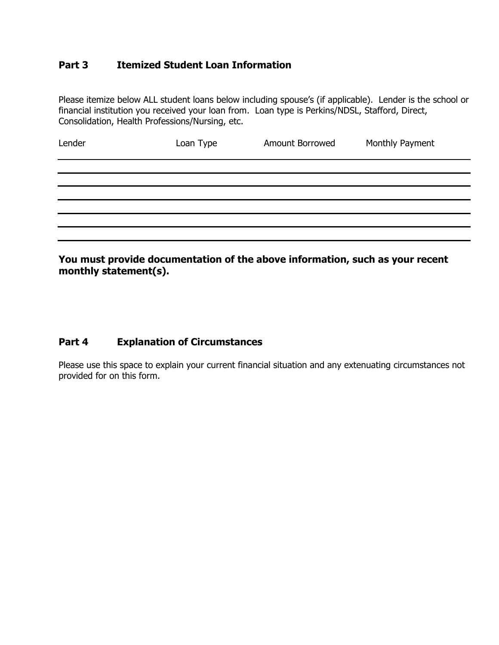## **Part 3 Itemized Student Loan Information**

Please itemize below ALL student loans below including spouse's (if applicable). Lender is the school or financial institution you received your loan from. Loan type is Perkins/NDSL, Stafford, Direct, Consolidation, Health Professions/Nursing, etc.

| Lender                                                                                                        | Loan Type | Amount Borrowed | Monthly Payment |
|---------------------------------------------------------------------------------------------------------------|-----------|-----------------|-----------------|
|                                                                                                               |           |                 |                 |
|                                                                                                               |           |                 |                 |
|                                                                                                               |           |                 |                 |
|                                                                                                               |           |                 |                 |
|                                                                                                               |           |                 |                 |
|                                                                                                               |           |                 |                 |
| March 1996 and the depression of the other to the control of the control of the second second services of the |           |                 |                 |

**You must provide documentation of the above information, such as your recent monthly statement(s).** 

## **Part 4 Explanation of Circumstances**

Please use this space to explain your current financial situation and any extenuating circumstances not provided for on this form.